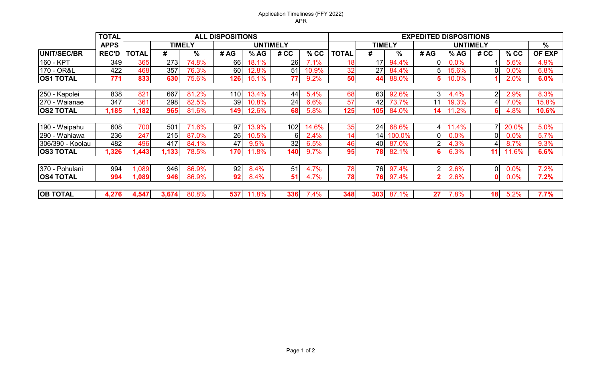## Application Timeliness (FFY 2022) APR

|                  | <b>TOTAL</b> | <b>ALL DISPOSITIONS</b> |               |       |      |                 |      |        |              | <b>EXPEDITED DISPOSITIONS</b> |        |                 |       |                 |         |                     |  |  |
|------------------|--------------|-------------------------|---------------|-------|------|-----------------|------|--------|--------------|-------------------------------|--------|-----------------|-------|-----------------|---------|---------------------|--|--|
|                  | <b>APPS</b>  |                         | <b>TIMELY</b> |       |      | <b>UNTIMELY</b> |      |        |              | <b>TIMELY</b>                 |        | <b>UNTIMELY</b> |       |                 |         | $\sqrt{\frac{6}{}}$ |  |  |
| UNIT/SEC/BR      | <b>REC'D</b> | TOTAL                   | #             | %     | # AG | % AG            | # CC | $%$ CC | <b>TOTAL</b> | #                             | %      | # AG            | % AG  | # CC            | $%$ CC  | <b>OF EXP</b>       |  |  |
| 160 - KPT        | 349          | 365                     | 273           | 74.8% | 66   | 18.1%           | 26   | 7.1%   | 18           | 17                            | 94.4%  | ΩI              | 0.0%  |                 | 5.6%    | 4.9%                |  |  |
| 170 - OR&L       | 422          | 468                     | 357           | 76.3% | 60   | 12.8%           | 51   | 10.9%  | 32           | 27                            | 84.4%  | 51              | 15.6% | ΩI              | $0.0\%$ | 6.8%                |  |  |
| <b>OS1 TOTAL</b> | 771          | 833                     | 630           | 75.6% | 126  | 15.1%           | 77   | 9.2%   | 50           | 44                            | 88.0%  | 51              | 10.0% |                 | 2.0%    | 6.0%                |  |  |
|                  |              |                         |               |       |      |                 |      |        |              |                               |        |                 |       |                 |         |                     |  |  |
| 250 - Kapolei    | 838          | 821                     | 667           | 81.2% | 1101 | 13.4%           | 44   | 5.4%   | 68           | 63                            | 92.6%  | ЗI              | 4.4%  | 2 <sub>1</sub>  | 2.9%    | 8.3%                |  |  |
| 270 - Waianae    | 347          | 361                     | 298           | 82.5% | 39   | 10.8%           | 24   | 6.6%   | 57           | 42                            | 73.7%  | 11              | 19.3% |                 | 7.0%    | 15.8%               |  |  |
| <b>OS2 TOTAL</b> | 1,185        | 1,182                   | 965           | 81.6% | 149  | 12.6%           | 68   | 5.8%   | 125          | 105                           | 84.0%  | 14              | 11.2% | 61              | 4.8%    | 10.6%               |  |  |
|                  |              |                         |               |       |      |                 |      |        |              |                               |        |                 |       |                 |         |                     |  |  |
| 190 - Waipahu    | 608          | 700                     | 501           | 71.6% | 97   | 13.9%           | 102  | 14.6%  | 35           | 24                            | 68.6%  | 41              | 11.4% |                 | 20.0%   | 5.0%                |  |  |
| 290 - Wahiawa    | 236          | 247                     | 215           | 87.0% | 26   | 10.5%           | 6    | 2.4%   | 14           | 14                            | 100.0% | Οl              | 0.0%  | ΩI              | $0.0\%$ | 5.7%                |  |  |
| 306/390 - Koolau | 482          | 496                     | 417           | 84.1% | 47   | 9.5%            | 32   | 6.5%   | 46           | 40                            | 87.0%  | $\overline{2}$  | 4.3%  |                 | 8.7%    | 9.3%                |  |  |
| <b>OS3 TOTAL</b> | 1,326        | 1,443                   | 1,133         | 78.5% | 170  | 11.8%           | 140  | 9.7%   | 95           | 78                            | 82.1%  | 61              | 6.3%  | 11              | 11.6%   | 6.6%                |  |  |
|                  |              |                         |               |       |      |                 |      |        |              |                               |        |                 |       |                 |         |                     |  |  |
| 370 - Pohulani   | 994          | 1,089                   | 946           | 86.9% | 92   | 8.4%            | 51   | 4.7%   | 78           | 76                            | 97.4%  | 21              | 2.6%  | 0I              | 0.0%    | 7.2%                |  |  |
| <b>OS4 TOTAL</b> | 994          | 1,089                   | 946           | 86.9% | 92   | 8.4%            | 51   | 4.7%   | 78           | 76                            | 97.4%  |                 | 2.6%  | $\mathbf{0}$    | 0.0%    | 7.2%                |  |  |
|                  |              |                         |               |       |      |                 |      |        |              |                               |        |                 |       |                 |         |                     |  |  |
| <b>OB TOTAL</b>  | 4,276        | 4,547                   | 3,674         | 80.8% | 537  | 11.8%           | 336  | 7.4%   | 348          | 303                           | 87.1%  | 27              | 7.8%  | 18 <sup>l</sup> | 5.2%    | 7.7%                |  |  |